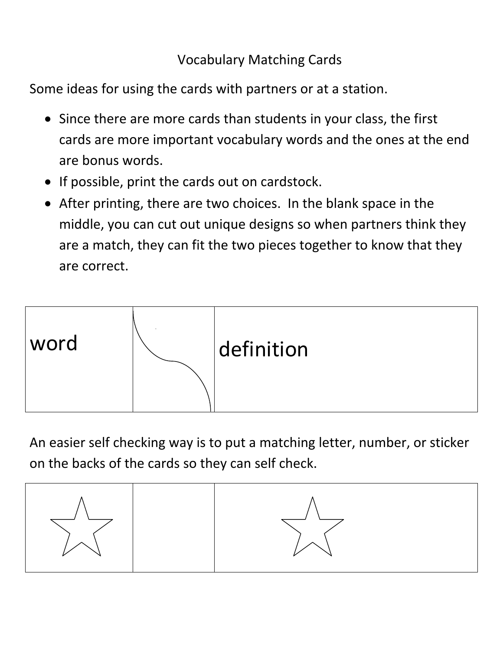## Vocabulary Matching Cards

Some ideas for using the cards with partners or at a station.

- Since there are more cards than students in your class, the first cards are more important vocabulary words and the ones at the end are bonus words.
- If possible, print the cards out on cardstock.
- After printing, there are two choices. In the blank space in the middle, you can cut out unique designs so when partners think they are a match, they can fit the two pieces together to know that they are correct.



An easier self checking way is to put a matching letter, number, or sticker on the backs of the cards so they can self check.

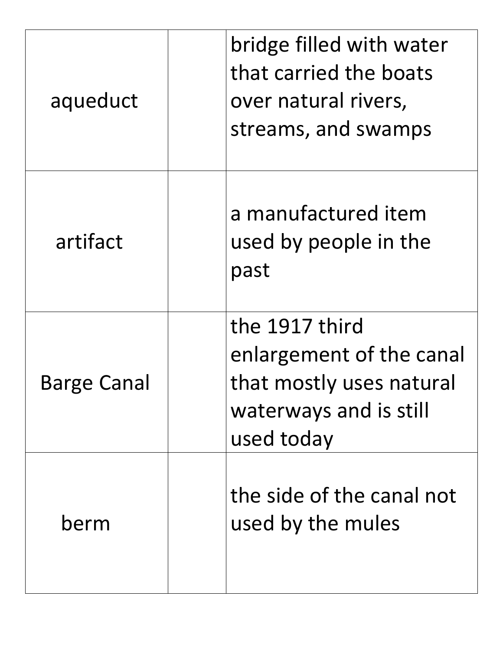| aqueduct           | bridge filled with water<br>that carried the boats<br>over natural rivers,<br>streams, and swamps              |
|--------------------|----------------------------------------------------------------------------------------------------------------|
| artifact           | a manufactured item<br>used by people in the<br>past                                                           |
| <b>Barge Canal</b> | the 1917 third<br>enlargement of the canal<br>that mostly uses natural<br>waterways and is still<br>used today |
| berm               | the side of the canal not<br>used by the mules                                                                 |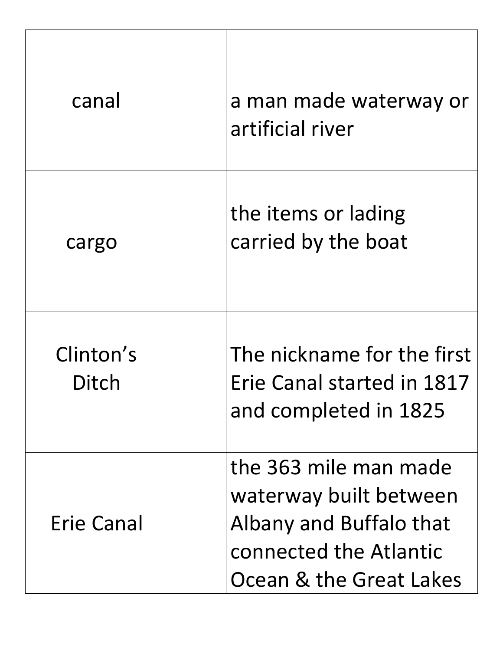| canal              | a man made waterway or<br>artificial river                                                                                      |
|--------------------|---------------------------------------------------------------------------------------------------------------------------------|
| cargo              | the items or lading<br>carried by the boat                                                                                      |
| Clinton's<br>Ditch | The nickname for the first<br>Erie Canal started in 1817<br>and completed in 1825                                               |
| Erie Canal         | the 363 mile man made<br>waterway built between<br>Albany and Buffalo that<br>connected the Atlantic<br>Ocean & the Great Lakes |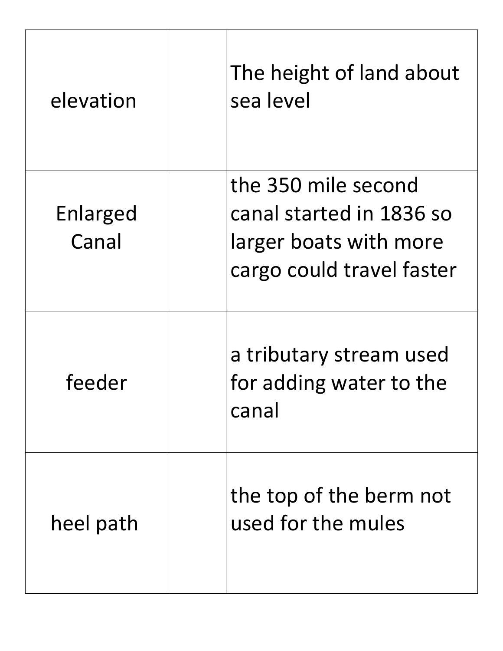| elevation         | The height of land about<br>sea level                                                                  |
|-------------------|--------------------------------------------------------------------------------------------------------|
| Enlarged<br>Canal | the 350 mile second<br>canal started in 1836 so<br>larger boats with more<br>cargo could travel faster |
| feeder            | a tributary stream used<br>for adding water to the<br>canal                                            |
| heel path         | the top of the berm not<br>used for the mules                                                          |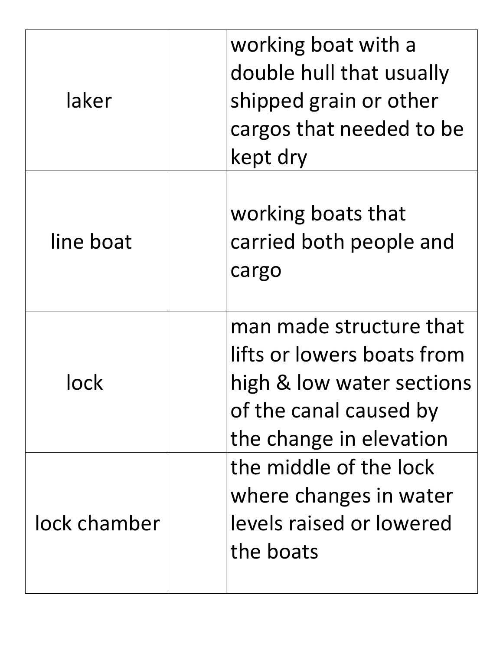| laker        | working boat with a<br>double hull that usually<br>shipped grain or other<br>cargos that needed to be<br>kept dry                       |
|--------------|-----------------------------------------------------------------------------------------------------------------------------------------|
| line boat    | working boats that<br>carried both people and<br>cargo                                                                                  |
|              | man made structure that<br>lifts or lowers boats from<br>high & low water sections<br>of the canal caused by<br>the change in elevation |
| lock chamber | the middle of the lock<br>where changes in water<br>levels raised or lowered<br>the boats                                               |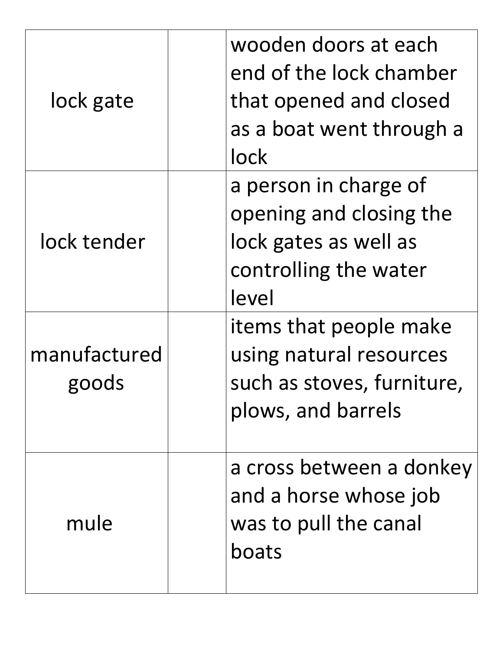| lock gate             | wooden doors at each<br>that opened and closed<br>lock                                                      | end of the lock chamber<br>as a boat went through a |
|-----------------------|-------------------------------------------------------------------------------------------------------------|-----------------------------------------------------|
| lock tender           | a person in charge of<br>opening and closing the<br>lock gates as well as<br>controlling the water<br>level |                                                     |
| manufactured<br>goods | items that people make<br>using natural resources<br>plows, and barrels                                     | such as stoves, furniture,                          |
| mule                  | and a horse whose job<br>was to pull the canal<br>boats                                                     | a cross between a donkey                            |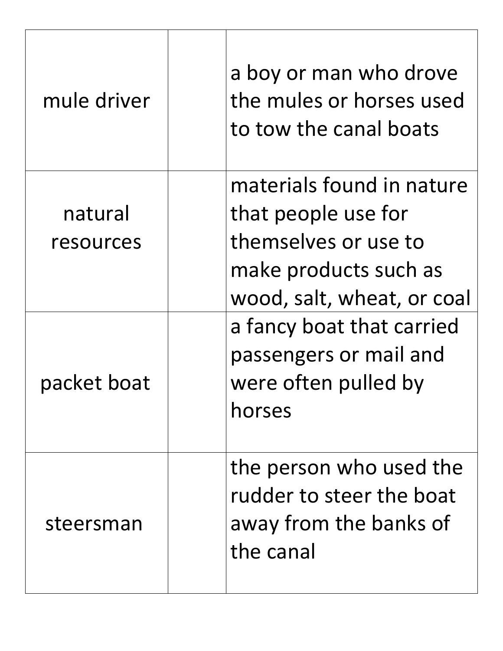| mule driver          | a boy or man who drove<br>the mules or horses used<br>to tow the canal boats                                                    |
|----------------------|---------------------------------------------------------------------------------------------------------------------------------|
| natural<br>resources | materials found in nature<br>that people use for<br>themselves or use to<br>make products such as<br>wood, salt, wheat, or coal |
| packet boat          | a fancy boat that carried<br>passengers or mail and<br>were often pulled by<br>horses                                           |
| steersman            | the person who used the<br>rudder to steer the boat<br>away from the banks of<br>the canal                                      |

 $\mathbf{r}$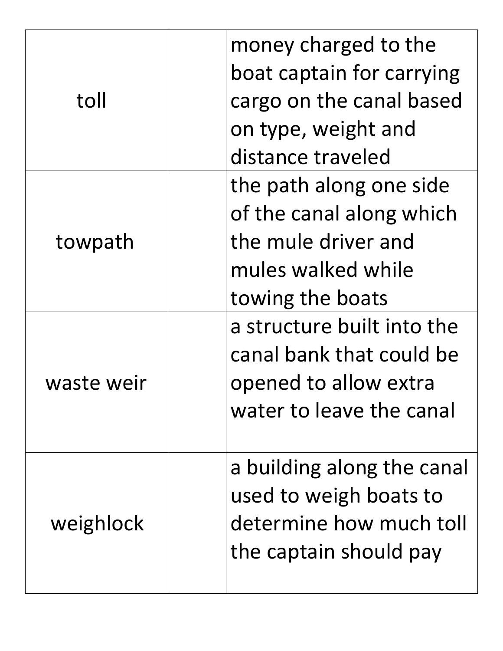| toll       | money charged to the<br>boat captain for carrying<br>cargo on the canal based<br>on type, weight and<br>distance traveled |
|------------|---------------------------------------------------------------------------------------------------------------------------|
| towpath    | the path along one side<br>of the canal along which<br>the mule driver and<br>mules walked while<br>towing the boats      |
| waste weir | a structure built into the<br>canal bank that could be<br>opened to allow extra<br>water to leave the canal               |
| weighlock  | a building along the canal<br>used to weigh boats to<br>determine how much toll<br>the captain should pay                 |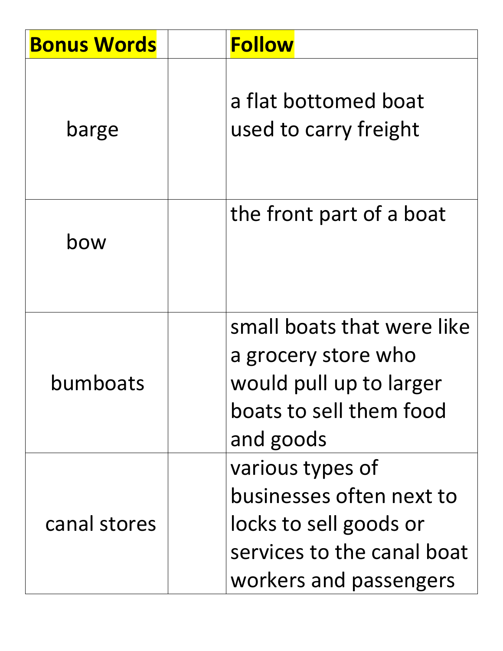| <b>Bonus Words</b> | <b>Follow</b>                                                                                                                  |
|--------------------|--------------------------------------------------------------------------------------------------------------------------------|
| barge              | a flat bottomed boat<br>used to carry freight                                                                                  |
| bow                | the front part of a boat                                                                                                       |
| bumboats           | small boats that were like<br>a grocery store who<br>would pull up to larger<br>boats to sell them food<br>and goods           |
| canal stores       | various types of<br>businesses often next to<br>locks to sell goods or<br>services to the canal boat<br>workers and passengers |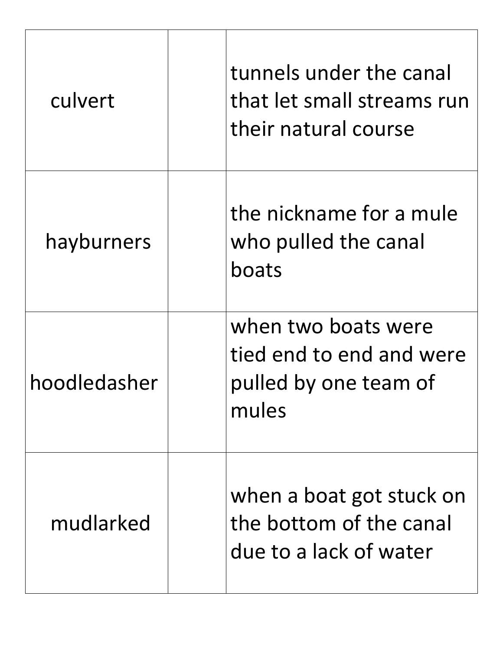| culvert      | tunnels under the canal<br>that let small streams run<br>their natural course     |
|--------------|-----------------------------------------------------------------------------------|
| hayburners   | the nickname for a mule<br>who pulled the canal<br>boats                          |
| hoodledasher | when two boats were<br>tied end to end and were<br>pulled by one team of<br>mules |
| mudlarked    | when a boat got stuck on<br>the bottom of the canal<br>due to a lack of water     |